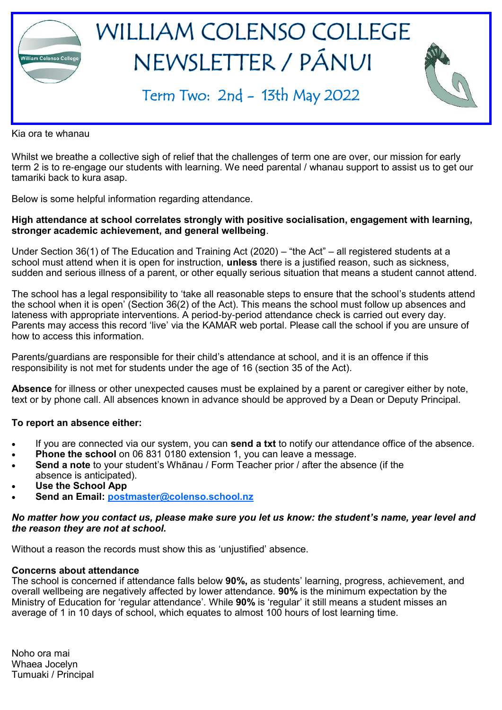

Kia ora te whanau

Whilst we breathe a collective sigh of relief that the challenges of term one are over, our mission for early term 2 is to re-engage our students with learning. We need parental / whanau support to assist us to get our tamariki back to kura asap.

Below is some helpful information regarding attendance.

#### **High attendance at school correlates strongly with positive socialisation, engagement with learning, stronger academic achievement, and general wellbeing**.

Under Section 36(1) of The Education and Training Act (2020) – "the Act" – all registered students at a school must attend when it is open for instruction, **unless** there is a justified reason, such as sickness, sudden and serious illness of a parent, or other equally serious situation that means a student cannot attend.

The school has a legal responsibility to 'take all reasonable steps to ensure that the school's students attend the school when it is open' (Section 36(2) of the Act). This means the school must follow up absences and lateness with appropriate interventions. A period-by-period attendance check is carried out every day. Parents may access this record 'live' via the KAMAR web portal. Please call the school if you are unsure of how to access this information.

Parents/guardians are responsible for their child's attendance at school, and it is an offence if this responsibility is not met for students under the age of 16 (section 35 of the Act).

**Absence** for illness or other unexpected causes must be explained by a parent or caregiver either by note, text or by phone call. All absences known in advance should be approved by a Dean or Deputy Principal.

#### **To report an absence either:**

- If you are connected via our system, you can **send a txt** to notify our attendance office of the absence.
- **Phone the school** on 06 831 0180 extension 1, you can leave a message.
- **Send a note** to your student's Whānau / Form Teacher prior / after the absence (if the absence is anticipated).
- **Use the School App**
- **Send an Email: [postmaster@colenso.school.nz](mailto:postmaster@colenso.school.nz)**

#### *No matter how you contact us, please make sure you let us know: the student's name, year level and the reason they are not at school.*

Without a reason the records must show this as 'unjustified' absence.

#### **Concerns about attendance**

The school is concerned if attendance falls below **90%,** as students' learning, progress, achievement, and overall wellbeing are negatively affected by lower attendance. **90%** is the minimum expectation by the Ministry of Education for 'regular attendance'. While **90%** is 'regular' it still means a student misses an average of 1 in 10 days of school, which equates to almost 100 hours of lost learning time.

Noho ora mai Whaea Jocelyn Tumuaki / Principal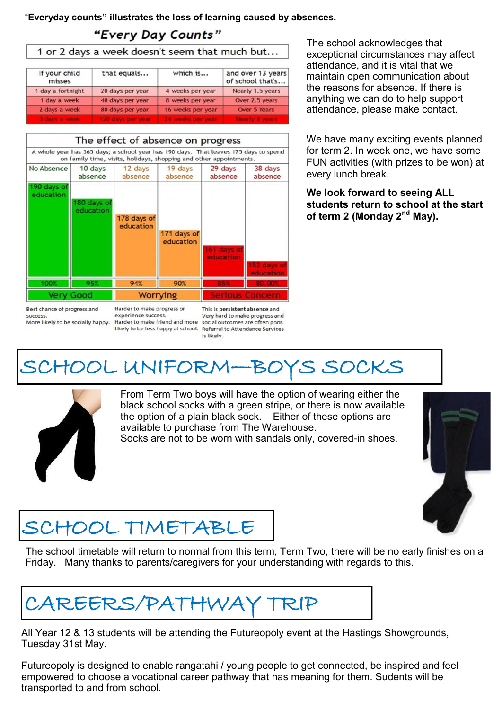"**Everyday counts" illustrates the loss of learning caused by absences.**

### "Every Day Counts"

| If your child<br>misses | that equals       | which is          | and over 13 years<br>of school that's |
|-------------------------|-------------------|-------------------|---------------------------------------|
| 1 day a fortnight       | 20 days per year  | 4 weeks per year  | Nearly 1.5 years                      |
| 1 day a week            | 40 days per year  | 8 weeks per year  | Over 2.5 years                        |
| 2 days a week           | 80 days per year  | 16 weeks per year | Over 5 Years                          |
| 3 days a week           | 120 days per year |                   | dearly & years                        |



The school acknowledges that exceptional circumstances may affect attendance, and it is vital that we maintain open communication about the reasons for absence. If there is anything we can do to help support attendance, please make contact.

We have many exciting events planned for term 2. In week one, we have some FUN activities (with prizes to be won) at every lunch break.

**We look forward to seeing ALL students return to school at the start of term 2 (Monday 2nd May).**

#### success. More likely to be socially happy.

experience success. Harder to make friend and more

This is persistent absence and Very hard to make progress and social outcomes are often poor. likely to be less happy at school. Referral to Attendance Services is likely.

# SCHOOL UNIFORM—BOYS SOCKS



From Term Two boys will have the option of wearing either the black school socks with a green stripe, or there is now available the option of a plain black sock. Either of these options are available to purchase from The Warehouse.

Socks are not to be worn with sandals only, covered-in shoes.



### SCHOOL TIMETABLE

The school timetable will return to normal from this term, Term Two, there will be no early finishes on a Friday. Many thanks to parents/caregivers for your understanding with regards to this.

# CAREERS/PATHWAY TRIP

All Year 12 & 13 students will be attending the Futureopoly event at the Hastings Showgrounds, Tuesday 31st May.

Futureopoly is designed to enable rangatahi / young people to get connected, be inspired and feel empowered to choose a vocational career pathway that has meaning for them. Sudents will be transported to and from school.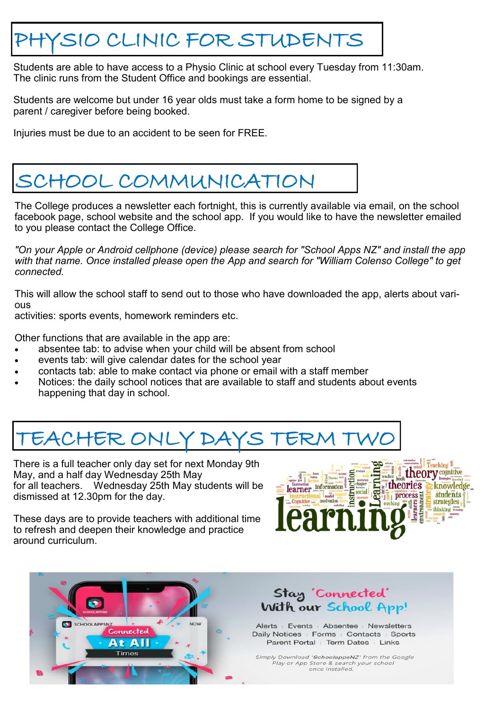## PHYSIO CLINIC FOR STUDENTS

Students are able to have access to a Physio Clinic at school every Tuesday from 11:30am. The clinic runs from the Student Office and bookings are essential.

Students are welcome but under 16 year olds must take a form home to be signed by a parent / caregiver before being booked.

Injuries must be due to an accident to be seen for FREE.

# SCHOOL COMMUNICATION

The College produces a newsletter each fortnight, this is currently available via email, on the school facebook page, school website and the school app. If you would like to have the newsletter emailed to you please contact the College Office.

*"On your Apple or Android cellphone (device) please search for "School Apps NZ" and install the app*  with that name. Once installed please open the App and search for "William Colenso College" to get *connected.*

This will allow the school staff to send out to those who have downloaded the app, alerts about various

activities: sports events, homework reminders etc.

Other functions that are available in the app are:

- absentee tab: to advise when your child will be absent from school
- events tab: will give calendar dates for the school year
- contacts tab: able to make contact via phone or email with a staff member
- Notices: the daily school notices that are available to staff and students about events happening that day in school.

### EACHER ONLY DAYS TER

There is a full teacher only day set for next Monday 9th May, and a half day Wednesday 25th May for all teachers. Wednesday 25th May students will be dismissed at 12.30pm for the day.

These days are to provide teachers with additional time to refresh and deepen their knowledge and practice around curriculum.